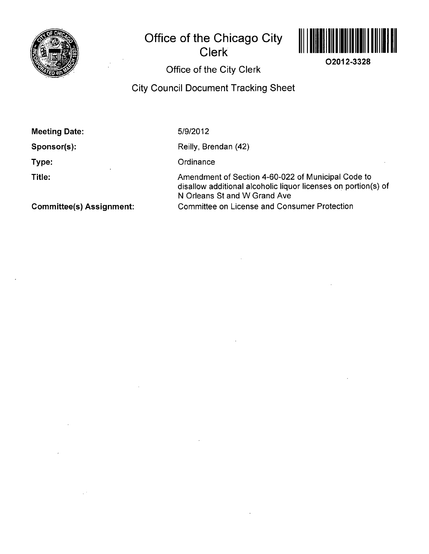

# **Office of the Chicago City Clerk**



**02012-3328** 

**Office of the City Clerk** 

## **City Council Document Tracking Sheet**

| <b>Meeting Date:</b>            | 5/9/2012                                                                                                                                             |
|---------------------------------|------------------------------------------------------------------------------------------------------------------------------------------------------|
| Sponsor(s):                     | Reilly, Brendan (42)                                                                                                                                 |
| Type:                           | Ordinance                                                                                                                                            |
| Title:                          | Amendment of Section 4-60-022 of Municipal Code to<br>disallow additional alcoholic liquor licenses on portion(s) of<br>N Orleans St and W Grand Ave |
| <b>Committee(s) Assignment:</b> | <b>Committee on License and Consumer Protection</b>                                                                                                  |